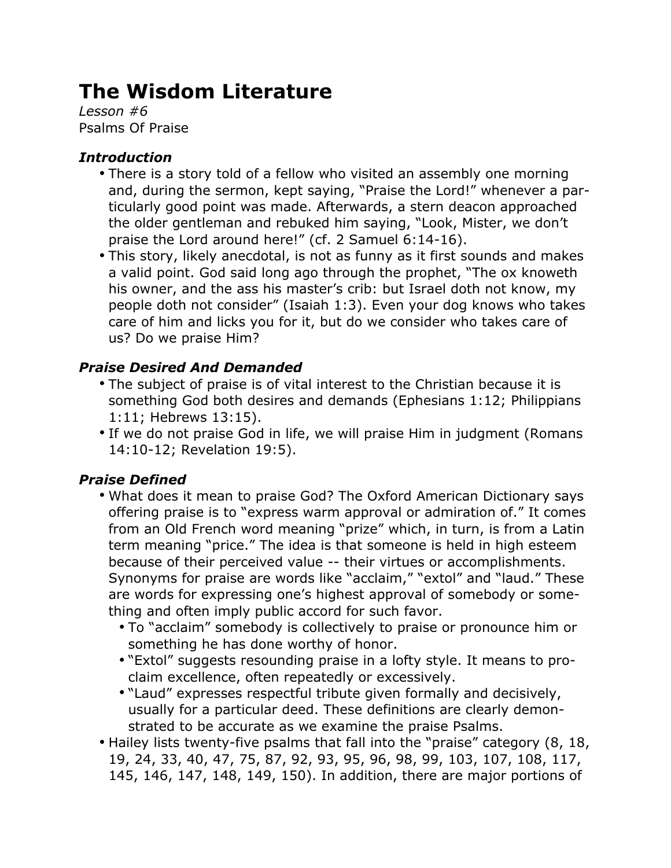# **The Wisdom Literature**

*Lesson #6* Psalms Of Praise

#### *Introduction*

- There is a story told of a fellow who visited an assembly one morning and, during the sermon, kept saying, "Praise the Lord!" whenever a particularly good point was made. Afterwards, a stern deacon approached the older gentleman and rebuked him saying, "Look, Mister, we don't praise the Lord around here!" (cf. 2 Samuel 6:14-16).
- This story, likely anecdotal, is not as funny as it first sounds and makes a valid point. God said long ago through the prophet, "The ox knoweth his owner, and the ass his master's crib: but Israel doth not know, my people doth not consider" (Isaiah 1:3). Even your dog knows who takes care of him and licks you for it, but do we consider who takes care of us? Do we praise Him?

## *Praise Desired And Demanded*

- The subject of praise is of vital interest to the Christian because it is something God both desires and demands (Ephesians 1:12; Philippians 1:11; Hebrews 13:15).
- If we do not praise God in life, we will praise Him in judgment (Romans 14:10-12; Revelation 19:5).

## *Praise Defined*

- What does it mean to praise God? The Oxford American Dictionary says offering praise is to "express warm approval or admiration of." It comes from an Old French word meaning "prize" which, in turn, is from a Latin term meaning "price." The idea is that someone is held in high esteem because of their perceived value -- their virtues or accomplishments. Synonyms for praise are words like "acclaim," "extol" and "laud." These are words for expressing one's highest approval of somebody or something and often imply public accord for such favor.
	- To "acclaim" somebody is collectively to praise or pronounce him or something he has done worthy of honor.
	- "Extol" suggests resounding praise in a lofty style. It means to proclaim excellence, often repeatedly or excessively.
	- "Laud" expresses respectful tribute given formally and decisively, usually for a particular deed. These definitions are clearly demonstrated to be accurate as we examine the praise Psalms.
- Hailey lists twenty-five psalms that fall into the "praise" category (8, 18, 19, 24, 33, 40, 47, 75, 87, 92, 93, 95, 96, 98, 99, 103, 107, 108, 117, 145, 146, 147, 148, 149, 150). In addition, there are major portions of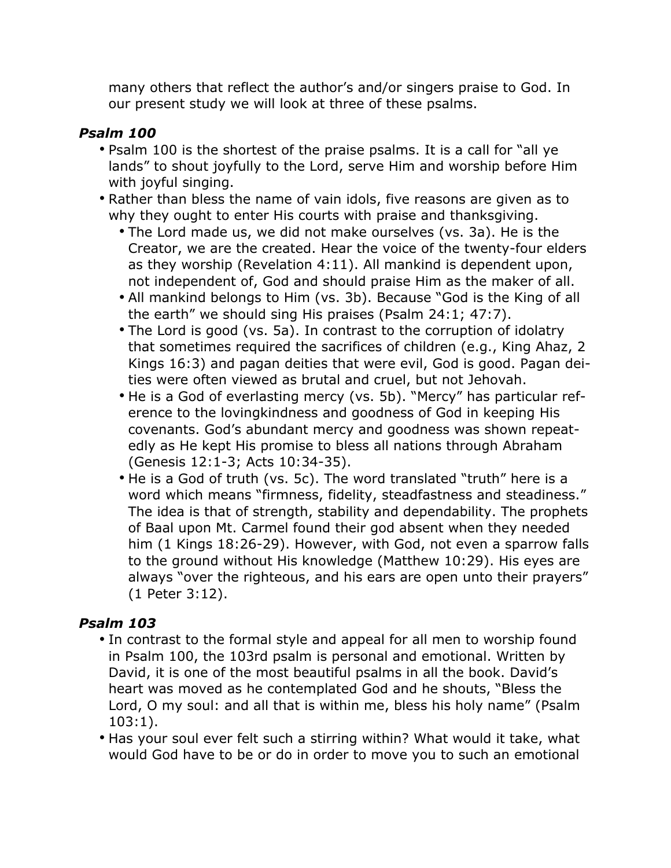many others that reflect the author's and/or singers praise to God. In our present study we will look at three of these psalms.

#### *Psalm 100*

- Psalm 100 is the shortest of the praise psalms. It is a call for "all ye lands" to shout joyfully to the Lord, serve Him and worship before Him with joyful singing.
- Rather than bless the name of vain idols, five reasons are given as to why they ought to enter His courts with praise and thanksgiving.
	- The Lord made us, we did not make ourselves (vs. 3a). He is the Creator, we are the created. Hear the voice of the twenty-four elders as they worship (Revelation 4:11). All mankind is dependent upon, not independent of, God and should praise Him as the maker of all.
	- All mankind belongs to Him (vs. 3b). Because "God is the King of all the earth" we should sing His praises (Psalm 24:1; 47:7).
	- The Lord is good (vs. 5a). In contrast to the corruption of idolatry that sometimes required the sacrifices of children (e.g., King Ahaz, 2 Kings 16:3) and pagan deities that were evil, God is good. Pagan deities were often viewed as brutal and cruel, but not Jehovah.
	- He is a God of everlasting mercy (vs. 5b). "Mercy" has particular reference to the lovingkindness and goodness of God in keeping His covenants. God's abundant mercy and goodness was shown repeatedly as He kept His promise to bless all nations through Abraham (Genesis 12:1-3; Acts 10:34-35).
	- He is a God of truth (vs. 5c). The word translated "truth" here is a word which means "firmness, fidelity, steadfastness and steadiness." The idea is that of strength, stability and dependability. The prophets of Baal upon Mt. Carmel found their god absent when they needed him (1 Kings 18:26-29). However, with God, not even a sparrow falls to the ground without His knowledge (Matthew 10:29). His eyes are always "over the righteous, and his ears are open unto their prayers" (1 Peter 3:12).

## *Psalm 103*

- In contrast to the formal style and appeal for all men to worship found in Psalm 100, the 103rd psalm is personal and emotional. Written by David, it is one of the most beautiful psalms in all the book. David's heart was moved as he contemplated God and he shouts, "Bless the Lord, O my soul: and all that is within me, bless his holy name" (Psalm 103:1).
- Has your soul ever felt such a stirring within? What would it take, what would God have to be or do in order to move you to such an emotional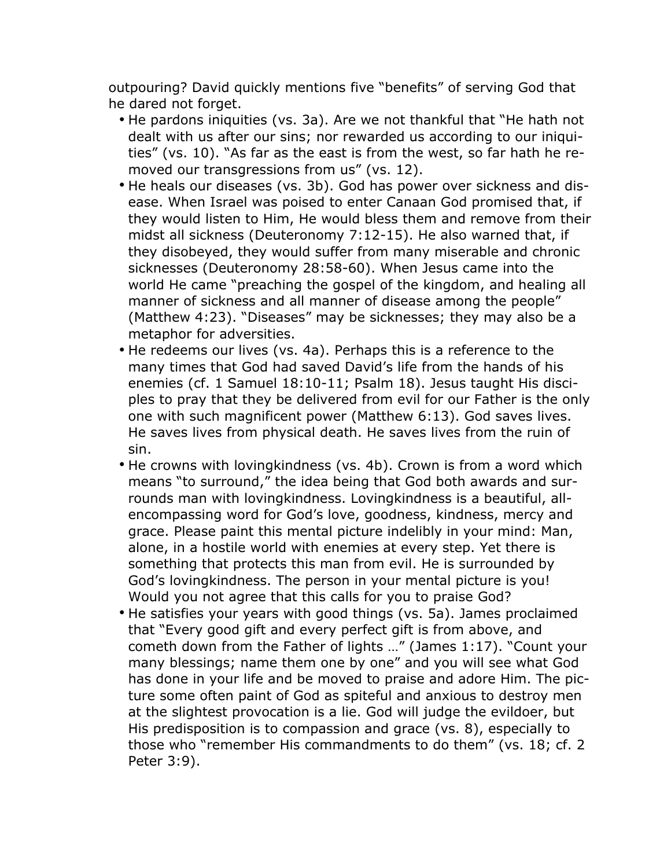outpouring? David quickly mentions five "benefits" of serving God that he dared not forget.

- He pardons iniquities (vs. 3a). Are we not thankful that "He hath not dealt with us after our sins; nor rewarded us according to our iniquities" (vs. 10). "As far as the east is from the west, so far hath he removed our transgressions from us" (vs. 12).
- He heals our diseases (vs. 3b). God has power over sickness and disease. When Israel was poised to enter Canaan God promised that, if they would listen to Him, He would bless them and remove from their midst all sickness (Deuteronomy 7:12-15). He also warned that, if they disobeyed, they would suffer from many miserable and chronic sicknesses (Deuteronomy 28:58-60). When Jesus came into the world He came "preaching the gospel of the kingdom, and healing all manner of sickness and all manner of disease among the people" (Matthew 4:23). "Diseases" may be sicknesses; they may also be a metaphor for adversities.
- He redeems our lives (vs. 4a). Perhaps this is a reference to the many times that God had saved David's life from the hands of his enemies (cf. 1 Samuel 18:10-11; Psalm 18). Jesus taught His disciples to pray that they be delivered from evil for our Father is the only one with such magnificent power (Matthew 6:13). God saves lives. He saves lives from physical death. He saves lives from the ruin of sin.
- He crowns with lovingkindness (vs. 4b). Crown is from a word which means "to surround," the idea being that God both awards and surrounds man with lovingkindness. Lovingkindness is a beautiful, allencompassing word for God's love, goodness, kindness, mercy and grace. Please paint this mental picture indelibly in your mind: Man, alone, in a hostile world with enemies at every step. Yet there is something that protects this man from evil. He is surrounded by God's lovingkindness. The person in your mental picture is you! Would you not agree that this calls for you to praise God?
- He satisfies your years with good things (vs. 5a). James proclaimed that "Every good gift and every perfect gift is from above, and cometh down from the Father of lights …" (James 1:17). "Count your many blessings; name them one by one" and you will see what God has done in your life and be moved to praise and adore Him. The picture some often paint of God as spiteful and anxious to destroy men at the slightest provocation is a lie. God will judge the evildoer, but His predisposition is to compassion and grace (vs. 8), especially to those who "remember His commandments to do them" (vs. 18; cf. 2 Peter 3:9).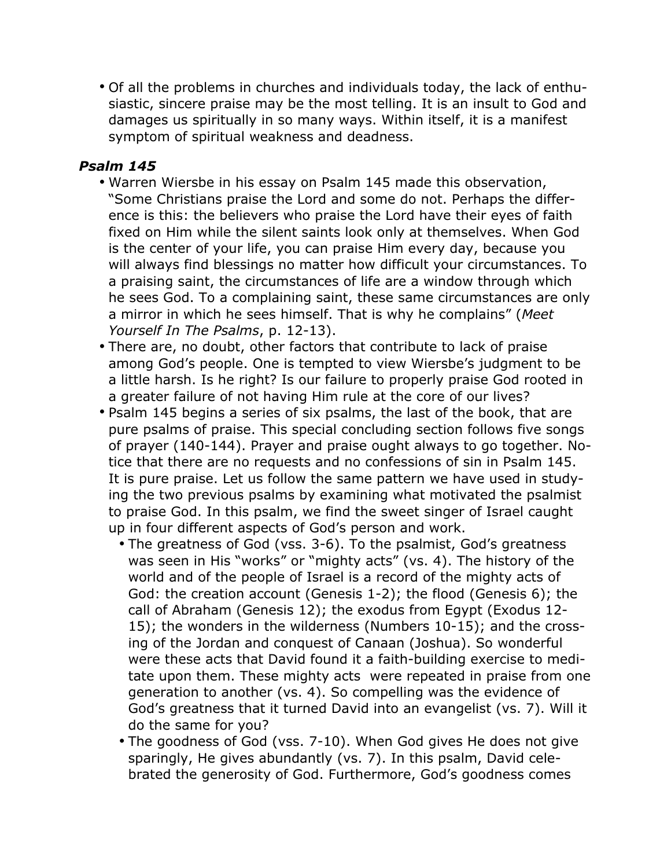• Of all the problems in churches and individuals today, the lack of enthusiastic, sincere praise may be the most telling. It is an insult to God and damages us spiritually in so many ways. Within itself, it is a manifest symptom of spiritual weakness and deadness.

#### *Psalm 145*

- Warren Wiersbe in his essay on Psalm 145 made this observation, "Some Christians praise the Lord and some do not. Perhaps the difference is this: the believers who praise the Lord have their eyes of faith fixed on Him while the silent saints look only at themselves. When God is the center of your life, you can praise Him every day, because you will always find blessings no matter how difficult your circumstances. To a praising saint, the circumstances of life are a window through which he sees God. To a complaining saint, these same circumstances are only a mirror in which he sees himself. That is why he complains" (*Meet Yourself In The Psalms*, p. 12-13).
- There are, no doubt, other factors that contribute to lack of praise among God's people. One is tempted to view Wiersbe's judgment to be a little harsh. Is he right? Is our failure to properly praise God rooted in a greater failure of not having Him rule at the core of our lives?
- Psalm 145 begins a series of six psalms, the last of the book, that are pure psalms of praise. This special concluding section follows five songs of prayer (140-144). Prayer and praise ought always to go together. Notice that there are no requests and no confessions of sin in Psalm 145. It is pure praise. Let us follow the same pattern we have used in studying the two previous psalms by examining what motivated the psalmist to praise God. In this psalm, we find the sweet singer of Israel caught up in four different aspects of God's person and work.
	- The greatness of God (vss. 3-6). To the psalmist, God's greatness was seen in His "works" or "mighty acts" (vs. 4). The history of the world and of the people of Israel is a record of the mighty acts of God: the creation account (Genesis 1-2); the flood (Genesis 6); the call of Abraham (Genesis 12); the exodus from Egypt (Exodus 12- 15); the wonders in the wilderness (Numbers 10-15); and the crossing of the Jordan and conquest of Canaan (Joshua). So wonderful were these acts that David found it a faith-building exercise to meditate upon them. These mighty acts were repeated in praise from one generation to another (vs. 4). So compelling was the evidence of God's greatness that it turned David into an evangelist (vs. 7). Will it do the same for you?
	- The goodness of God (vss. 7-10). When God gives He does not give sparingly, He gives abundantly (vs. 7). In this psalm, David celebrated the generosity of God. Furthermore, God's goodness comes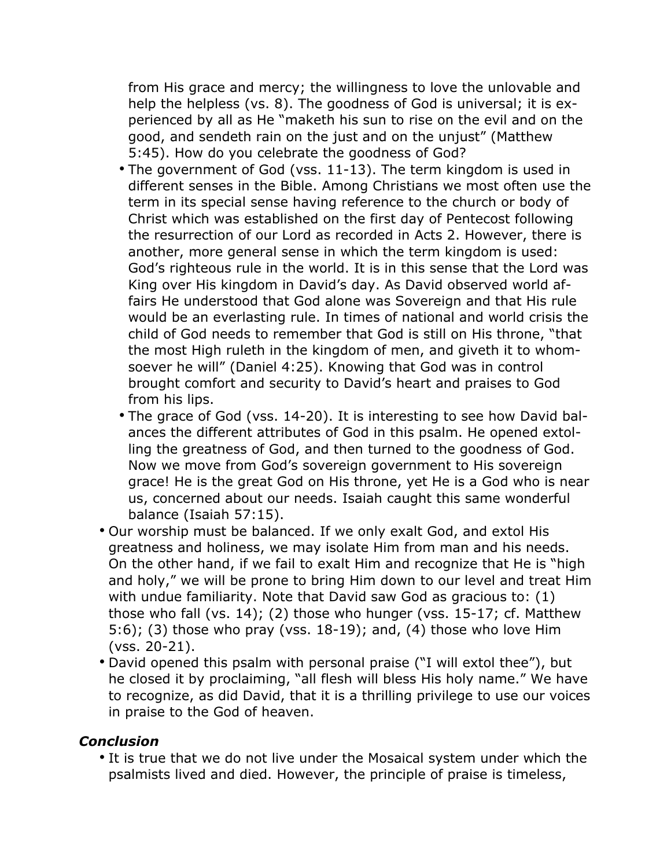from His grace and mercy; the willingness to love the unlovable and help the helpless (vs. 8). The goodness of God is universal; it is experienced by all as He "maketh his sun to rise on the evil and on the good, and sendeth rain on the just and on the unjust" (Matthew 5:45). How do you celebrate the goodness of God?

- The government of God (vss. 11-13). The term kingdom is used in different senses in the Bible. Among Christians we most often use the term in its special sense having reference to the church or body of Christ which was established on the first day of Pentecost following the resurrection of our Lord as recorded in Acts 2. However, there is another, more general sense in which the term kingdom is used: God's righteous rule in the world. It is in this sense that the Lord was King over His kingdom in David's day. As David observed world affairs He understood that God alone was Sovereign and that His rule would be an everlasting rule. In times of national and world crisis the child of God needs to remember that God is still on His throne, "that the most High ruleth in the kingdom of men, and giveth it to whomsoever he will" (Daniel 4:25). Knowing that God was in control brought comfort and security to David's heart and praises to God from his lips.
- The grace of God (vss. 14-20). It is interesting to see how David balances the different attributes of God in this psalm. He opened extolling the greatness of God, and then turned to the goodness of God. Now we move from God's sovereign government to His sovereign grace! He is the great God on His throne, yet He is a God who is near us, concerned about our needs. Isaiah caught this same wonderful balance (Isaiah 57:15).
- Our worship must be balanced. If we only exalt God, and extol His greatness and holiness, we may isolate Him from man and his needs. On the other hand, if we fail to exalt Him and recognize that He is "high and holy," we will be prone to bring Him down to our level and treat Him with undue familiarity. Note that David saw God as gracious to: (1) those who fall (vs. 14); (2) those who hunger (vss. 15-17; cf. Matthew 5:6); (3) those who pray (vss. 18-19); and, (4) those who love Him (vss. 20-21).
- David opened this psalm with personal praise ("I will extol thee"), but he closed it by proclaiming, "all flesh will bless His holy name." We have to recognize, as did David, that it is a thrilling privilege to use our voices in praise to the God of heaven.

#### *Conclusion*

• It is true that we do not live under the Mosaical system under which the psalmists lived and died. However, the principle of praise is timeless,